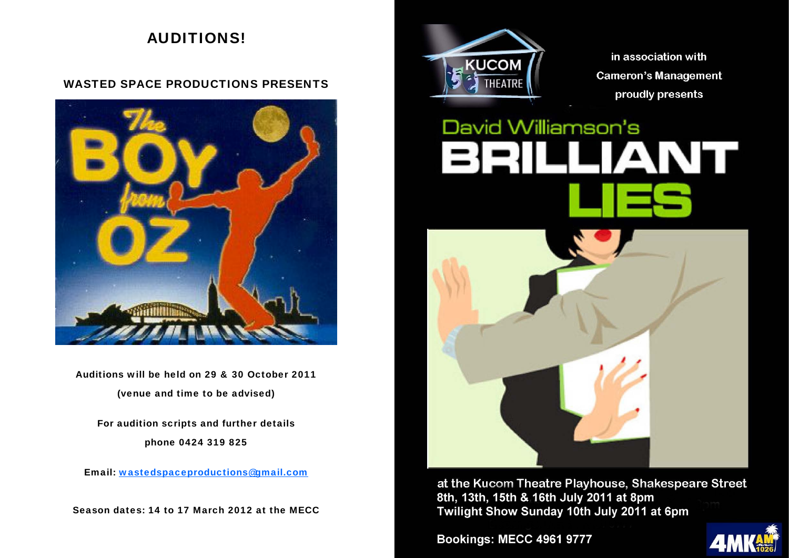# AUDITIONS!

# WASTED SPACE PRODUCTIONS PRESENTS



Auditions will be held on 29 & 30 October 2011 (venue and time to be advised)

For audition scripts and further details phone 0424 319 825

Email: wastedspaceproductions@gmail.com

Season dates: 14 to 17 March 2012 at the MECC



in association with **Cameron's Management** proudly presents

# David Williamson's



at the Kucom Theatre Playhouse, Shakespeare Street 8th, 13th, 15th & 16th July 2011 at 8pm Twilight Show Sunday 10th July 2011 at 6pm

**Bookings: MECC 4961 9777** 

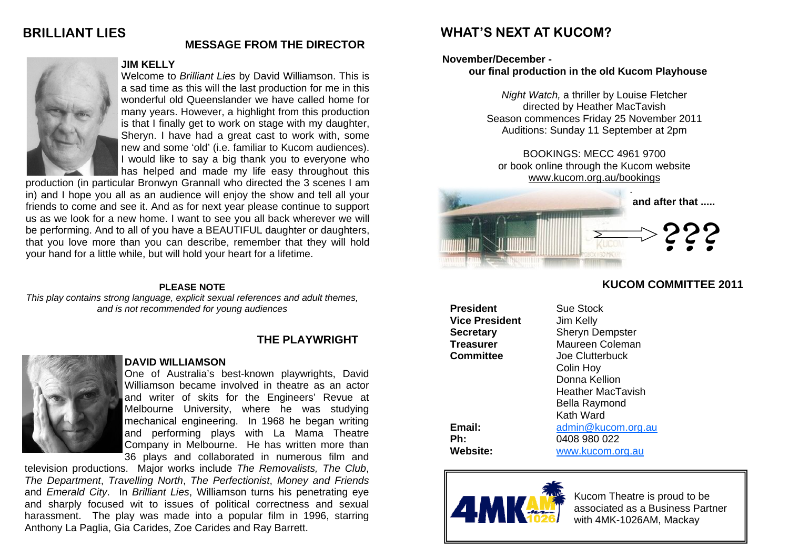# **BRILLIANT LIES**



#### **JIM KELLY**

Welcome to *Brilliant Lies* by David Williamson. This is a sad time as this will the last production for me in this wonderful old Queenslander we have called home for many years. However, a highlight from this production is that I finally get to work on stage with my daughter, Sheryn. I have had a great cast to work with, some new and some 'old' (i.e. familiar to Kucom audiences). I would like to say a big thank you to everyone who has helped and made my life easy throughout this

**MESSAGE FROM THE DIRECTOR** 

production (in particular Bronwyn Grannall who directed the 3 scenes I am in) and I hope you all as an audience will enjoy the show and tell all your friends to come and see it. And as for next year please continue to support us as we look for a new home. I want to see you all back wherever we will be performing. And to all of you have a BEAUTIFUL daughter or daughters, that you love more than you can describe, remember that they will hold your hand for a little while, but will hold your heart for a lifetime.

#### **PLEASE NOTE**

*This play contains strong language, explicit sexual references and adult themes, and is not recommended for young audiences* 

# **THE PLAYWRIGHT**



#### **DAVID WILLIAMSON**

One of Australia's best-known playwrights, David Williamson became involved in theatre as an actor and writer of skits for the Engineers' Revue at Melbourne University, where he was studying mechanical engineering. In 1968 he began writing and performing plays with La Mama Theatre Company in Melbourne. He has written more than 36 plays and collaborated in numerous film and

television productions. Major works include *The Removalists, The Club*, *The Department*, *Travelling North*, *The Perfectionist*, *Money and Friends*  and *Emerald City*. In *Brilliant Lies*, Williamson turns his penetrating eye and sharply focused wit to issues of political correctness and sexual harassment. The play was made into a popular film in 1996, starring Anthony La Paglia, Gia Carides, Zoe Carides and Ray Barrett.

# **WHAT'S NEXT AT KUCOM?**

#### **November/December -**

### **our final production in the old Kucom Playhouse**

*Night Watch,* a thriller by Louise Fletcher directed by Heather MacTavish Season commences Friday 25 November 2011 Auditions: Sunday 11 September at 2pm

BOOKINGS: MECC 4961 9700 or book online through the Kucom website www.kucom.org.au/bookings



# **KUCOM COMMITTEE 2011**

**President** Sue Stock **Vice President** Jim Kelly

**Secretary** Sheryn Dempster **Treasurer** Maureen Coleman **Committee** Joe Clutterbuck Colin Hoy Donna Kellion Heather MacTavish Bella Raymond Kath Ward **Email:** admin@kucom.org.au **Ph:** 0408 980 022 **Website:** www.kucom.org.au



Kucom Theatre is proud to be associated as a Business Partner with 4MK-1026AM, Mackay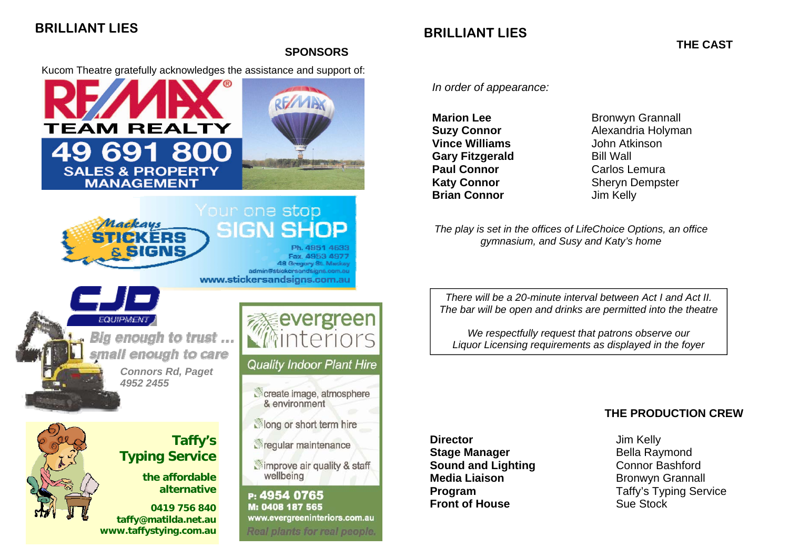# **BRILLIANT LIES**

# **BRILLIANT LIES**

**THE CAST** 

#### **SPONSORS**

Kucom Theatre gratefully acknowledges the assistance and support of:



# Your one stop SIGN

Fax. 4953 4977 48 Gregory St. Mackey admin@stickersandsigns.com.au www.stickersandsigns.com.au

*EQUIPMEN*. Bia enouah to trust ... nall enough to care *Connors Rd, Paget 4952 2455* 

Mackaus

**Taffy's Typing Service** 

**the affordable alternative** 

**0419 756 840 taffy@matilda.net.au www.taffystying.com.au** 



# **Quality Indoor Plant Hire**

create image, atmosphere & environment

Nong or short term hire

*<u>Arequiar maintenance</u>* 

simprove air quality & staff wellbeing

P: 4954 0765 M: 0408 187 565 www.evergreeninteriors.com.au Real plants for real people. *In order of appearance:* 

**Vince Williams** John Atkinson **Gary Fitzgerald** Bill Wall **Paul Connor Carlos Lemura Brian Connor Jim Kelly** 

**Marion Lee Bronwyn Grannall Suzy Connor** Alexandria Holyman **Katy Connor** Sheryn Dempster

*The play is set in the offices of LifeChoice Options, an office gymnasium, and Susy and Katy's home* 

*There will be a 20-minute interval between Act I and Act II. The bar will be open and drinks are permitted into the theatre* 

*We respectfully request that patrons observe our Liquor Licensing requirements as displayed in the foyer* 

# **THE PRODUCTION CREW**

**Director Jim Kelly Stage Manager**  Bella Raymond **Sound and Lighting <b>Connor** Bashford **Media Liaison Bronwyn Grannall Front of House Sue Stock** 

**Program**  Taffy's Typing Service